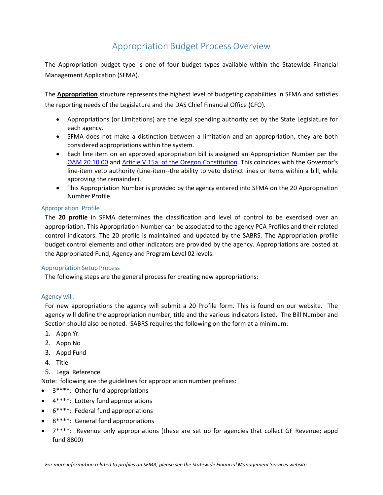# Appropriation Budget Process Overview

The Appropriation budget type is one of four budget types available within the Statewide Financial Management Application (SFMA).

The **Appropriation** structure represents the highest level of budgeting capabilities in SFMA and satisfies the reporting needs of the Legislature and the DAS Chief Financial Office (CFO).

- Appropriations (or Limitations) are the legal spending authority set by the State Legislature for each agency.
- SFMA does not make a distinction between a limitation and an appropriation, they are both considered appropriations within the system.
- Each line item on an approved appropriation bill is assigned an Appropriation Number per the [OAM 20.10.00](https://www.oregon.gov/das/Financial/Acctng/Documents/20.10.00.pdf) and [Article V 15a. of the Oregon Constitution.](https://www.oregonlegislature.gov/bills_laws/Pages/OrConst.aspx) This coincides with the Governor's line-item veto authority (Line-item--the ability to veto distinct lines or items within a bill, while approving the remainder).
- This Appropriation Number is provided by the agency entered into SFMA on the 20 Appropriation Number Profile.

## Appropriation Profile

The **20 profile** in SFMA determines the classification and level of control to be exercised over an appropriation. This Appropriation Number can be associated to the agency PCA Profiles and their related control indicators. The 20 profile is maintained and updated by the SABRS. The Appropriation profile budget control elements and other indicators are provided by the agency. Appropriations are posted at the Appropriated Fund, Agency and Program Level 02 levels.

## Appropriation Setup Process

The following steps are the general process for creating new appropriations:

## Agency will:

For new appropriations the agency will submit a 20 Profile form. This is found on our website. The agency will define the appropriation number, title and the various indicators listed. The Bill Number and Section should also be noted. SABRS requires the following on the form at a minimum:

- 1. Appn Yr.
- 2. Appn No
- 3. Appd Fund
- 4. Title
- 5. Legal Reference

Note: following are the guidelines for appropriation number prefixes:

- 3\*\*\*\*: Other fund appropriations
- 4\*\*\*\*: Lottery fund appropriations
- 6\*\*\*\*: Federal fund appropriations
- 8\*\*\*\*: General fund appropriations
- 7\*\*\*\*: Revenue only appropriations (these are set up for agencies that collect GF Revenue; appd fund 8800)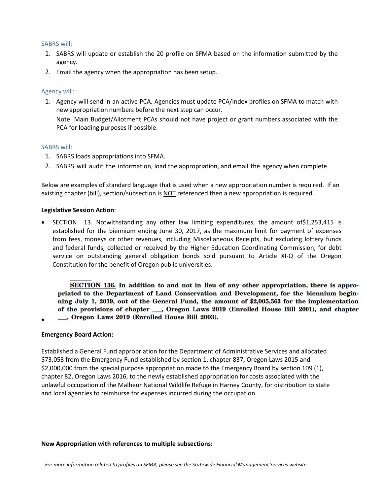#### SABRS will:

- 1. SABRS will update or establish the 20 profile on SFMA based on the information submitted by the agency.
- 2. Email the agency when the appropriation has been setup.

## Agency will:

1. Agency will send in an active PCA. Agencies must update PCA/Index profiles on SFMA to match with new appropriation numbers before the next step can occur. Note: Main Budget/Allotment PCAs should not have project or grant numbers associated with the PCA for loading purposes if possible.

#### SABRS will:

- 1. SABRS loads appropriations into SFMA.
- 2. SABRS will audit the information, load the appropriation, and email the agency when complete.

Below are examples of standard language that is used when a new appropriation number is required. If an existing chapter (bill), section/subsection is NOT referenced then a new appropriation is required.

#### **Legislative Session Action**:

• SECTION 13. Notwithstanding any other law limiting expenditures, the amount of \$1,253,415 is established for the biennium ending June 30, 2017, as the maximum limit for payment of expenses from fees, moneys or other revenues, including Miscellaneous Receipts, but excluding lottery funds and federal funds, collected or received by the Higher Education Coordinating Commission, for debt service on outstanding general obligation bonds sold pursuant to Article XI-Q of the Oregon Constitution for the benefit of Oregon public universities.

SECTION 136. In addition to and not in lieu of any other appropriation, there is appropriated to the Department of Land Conservation and Development, for the biennium beginning July 1, 2019, out of the General Fund, the amount of \$2,005,563 for the implementation of the provisions of chapter \_\_\_, Oregon Laws 2019 (Enrolled House Bill 2001), and chapter ..., Oregon Laws 2019 (Enrolled House Bill 2003).

## **Emergency Board Action:**

•

Established a General Fund appropriation for the Department of Administrative Services and allocated \$73,053 from the Emergency Fund established by section 1, chapter 837, Oregon Laws 2015 and \$2,000,000 from the special purpose appropriation made to the Emergency Board by section 109 (1), chapter 82, Oregon Laws 2016, to the newly established appropriation for costs associated with the unlawful occupation of the Malheur National Wildlife Refuge in Harney County, for distribution to state and local agencies to reimburse for expenses incurred during the occupation.

#### **New Appropriation with references to multiple subsections:**